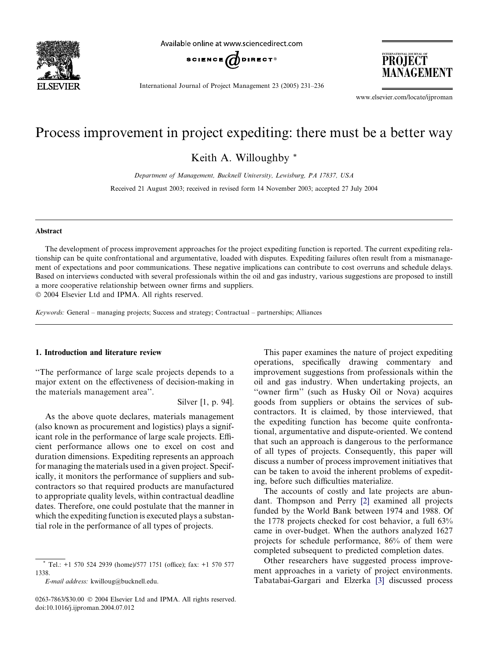

Available online at www.sciencedirect.com



International Journal of Project Management 23 (2005) 231–236

PROJECT MANAGEMENT

www.elsevier.com/locate/ijproman

## Process improvement in project expediting: there must be a better way

Keith A. Willoughby \*

Department of Management, Bucknell University, Lewisburg, PA 17837, USA

Received 21 August 2003; received in revised form 14 November 2003; accepted 27 July 2004

#### Abstract

The development of process improvement approaches for the project expediting function is reported. The current expediting relationship can be quite confrontational and argumentative, loaded with disputes. Expediting failures often result from a mismanagement of expectations and poor communications. These negative implications can contribute to cost overruns and schedule delays. Based on interviews conducted with several professionals within the oil and gas industry, various suggestions are proposed to instill a more cooperative relationship between owner firms and suppliers. 2004 Elsevier Ltd and IPMA. All rights reserved.

Keywords: General – managing projects; Success and strategy; Contractual – partnerships; Alliances

### 1. Introduction and literature review

''The performance of large scale projects depends to a major extent on the effectiveness of decision-making in the materials management area''.

Silver [1, p. 94].

As the above quote declares, materials management (also known as procurement and logistics) plays a significant role in the performance of large scale projects. Efficient performance allows one to excel on cost and duration dimensions. Expediting represents an approach for managing the materials used in a given project. Specifically, it monitors the performance of suppliers and subcontractors so that required products are manufactured to appropriate quality levels, within contractual deadline dates. Therefore, one could postulate that the manner in which the expediting function is executed plays a substantial role in the performance of all types of projects.

E-mail address: kwilloug@bucknell.edu.

This paper examines the nature of project expediting operations, specifically drawing commentary and improvement suggestions from professionals within the oil and gas industry. When undertaking projects, an ''owner firm'' (such as Husky Oil or Nova) acquires goods from suppliers or obtains the services of subcontractors. It is claimed, by those interviewed, that the expediting function has become quite confrontational, argumentative and dispute-oriented. We contend that such an approach is dangerous to the performance of all types of projects. Consequently, this paper will discuss a number of process improvement initiatives that can be taken to avoid the inherent problems of expediting, before such difficulties materialize.

The accounts of costly and late projects are abundant. Thompson and Perry [\[2\]](#page--1-0) examined all projects funded by the World Bank between 1974 and 1988. Of the 1778 projects checked for cost behavior, a full 63% came in over-budget. When the authors analyzed 1627 projects for schedule performance, 86% of them were completed subsequent to predicted completion dates.

Other researchers have suggested process improvement approaches in a variety of project environments. Tabatabai-Gargari and Elzerka [\[3\]](#page--1-0) discussed process

<sup>\*</sup> Tel.: +1 570 524 2939 (home)/577 1751 (office); fax: +1 570 577 1338.

<sup>0263-7863/\$30.00</sup>  $\odot$  2004 Elsevier Ltd and IPMA. All rights reserved. doi:10.1016/j.ijproman.2004.07.012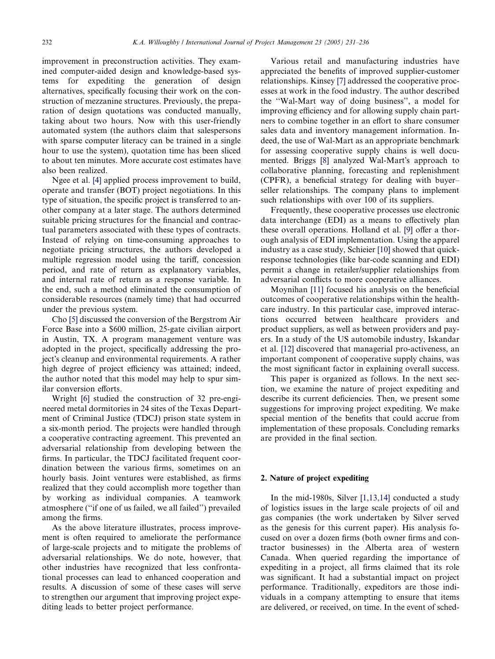improvement in preconstruction activities. They examined computer-aided design and knowledge-based systems for expediting the generation of design alternatives, specifically focusing their work on the construction of mezzanine structures. Previously, the preparation of design quotations was conducted manually, taking about two hours. Now with this user-friendly automated system (the authors claim that salespersons with sparse computer literacy can be trained in a single hour to use the system), quotation time has been sliced to about ten minutes. More accurate cost estimates have also been realized.

Ngee et al. [\[4\]](#page--1-0) applied process improvement to build, operate and transfer (BOT) project negotiations. In this type of situation, the specific project is transferred to another company at a later stage. The authors determined suitable pricing structures for the financial and contractual parameters associated with these types of contracts. Instead of relying on time-consuming approaches to negotiate pricing structures, the authors developed a multiple regression model using the tariff, concession period, and rate of return as explanatory variables, and internal rate of return as a response variable. In the end, such a method eliminated the consumption of considerable resources (namely time) that had occurred under the previous system.

Cho [\[5\]](#page--1-0) discussed the conversion of the Bergstrom Air Force Base into a \$600 million, 25-gate civilian airport in Austin, TX. A program management venture was adopted in the project, specifically addressing the project's cleanup and environmental requirements. A rather high degree of project efficiency was attained; indeed, the author noted that this model may help to spur similar conversion efforts.

Wright [\[6\]](#page--1-0) studied the construction of 32 pre-engineered metal dormitories in 24 sites of the Texas Department of Criminal Justice (TDCJ) prison state system in a six-month period. The projects were handled through a cooperative contracting agreement. This prevented an adversarial relationship from developing between the firms. In particular, the TDCJ facilitated frequent coordination between the various firms, sometimes on an hourly basis. Joint ventures were established, as firms realized that they could accomplish more together than by working as individual companies. A teamwork atmosphere (''if one of us failed, we all failed'') prevailed among the firms.

As the above literature illustrates, process improvement is often required to ameliorate the performance of large-scale projects and to mitigate the problems of adversarial relationships. We do note, however, that other industries have recognized that less confrontational processes can lead to enhanced cooperation and results. A discussion of some of these cases will serve to strengthen our argument that improving project expediting leads to better project performance.

Various retail and manufacturing industries have appreciated the benefits of improved supplier-customer relationships. Kinsey [\[7\]](#page--1-0) addressed the cooperative processes at work in the food industry. The author described the ''Wal-Mart way of doing business'', a model for improving efficiency and for allowing supply chain partners to combine together in an effort to share consumer sales data and inventory management information. Indeed, the use of Wal-Mart as an appropriate benchmark for assessing cooperative supply chains is well docu-mented. Briggs [\[8\]](#page--1-0) analyzed Wal-Mart's approach to collaborative planning, forecasting and replenishment (CPFR), a beneficial strategy for dealing with buyer– seller relationships. The company plans to implement such relationships with over 100 of its suppliers.

Frequently, these cooperative processes use electronic data interchange (EDI) as a means to effectively plan these overall operations. Holland et al. [\[9\]](#page--1-0) offer a thorough analysis of EDI implementation. Using the apparel industry as a case study, Schieier [\[10\]](#page--1-0) showed that quickresponse technologies (like bar-code scanning and EDI) permit a change in retailer/supplier relationships from adversarial conflicts to more cooperative alliances.

Moynihan [\[11\]](#page--1-0) focused his analysis on the beneficial outcomes of cooperative relationships within the healthcare industry. In this particular case, improved interactions occurred between healthcare providers and product suppliers, as well as between providers and payers. In a study of the US automobile industry, Iskandar et al. [\[12\]](#page--1-0) discovered that managerial pro-activeness, an important component of cooperative supply chains, was the most significant factor in explaining overall success.

This paper is organized as follows. In the next section, we examine the nature of project expediting and describe its current deficiencies. Then, we present some suggestions for improving project expediting. We make special mention of the benefits that could accrue from implementation of these proposals. Concluding remarks are provided in the final section.

### 2. Nature of project expediting

In the mid-1980s, Silver [\[1,13,14\]](#page--1-0) conducted a study of logistics issues in the large scale projects of oil and gas companies (the work undertaken by Silver served as the genesis for this current paper). His analysis focused on over a dozen firms (both owner firms and contractor businesses) in the Alberta area of western Canada. When queried regarding the importance of expediting in a project, all firms claimed that its role was significant. It had a substantial impact on project performance. Traditionally, expeditors are those individuals in a company attempting to ensure that items are delivered, or received, on time. In the event of sched-